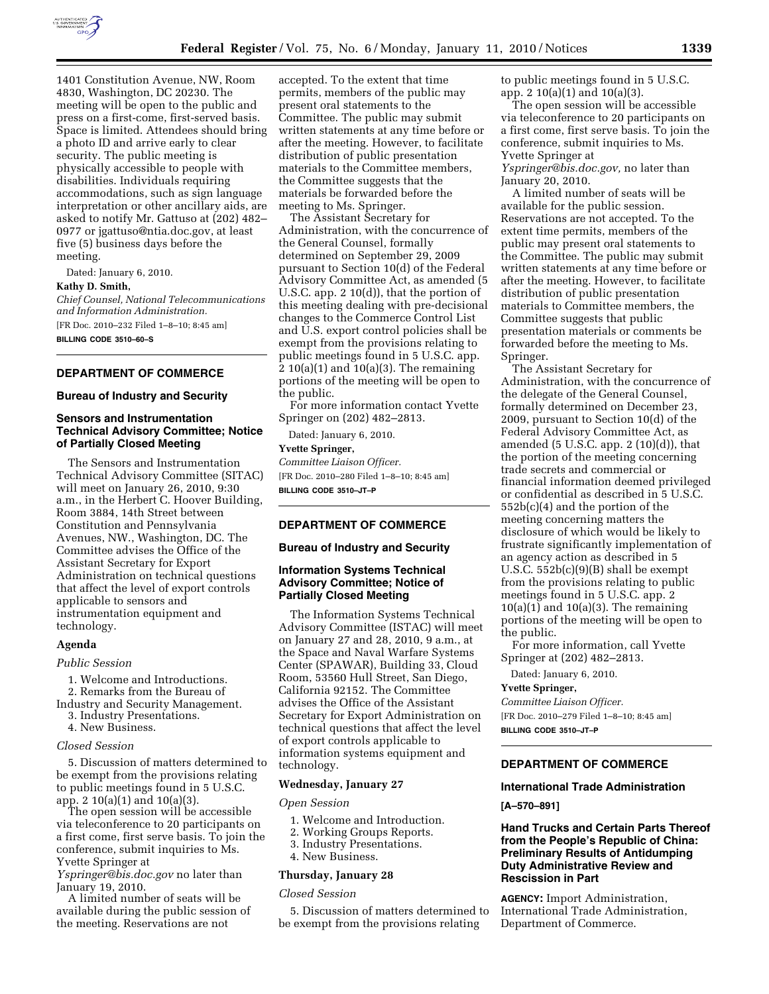

1401 Constitution Avenue, NW, Room 4830, Washington, DC 20230. The meeting will be open to the public and press on a first-come, first-served basis. Space is limited. Attendees should bring a photo ID and arrive early to clear security. The public meeting is physically accessible to people with disabilities. Individuals requiring accommodations, such as sign language interpretation or other ancillary aids, are asked to notify Mr. Gattuso at (202) 482– 0977 or jgattuso@ntia.doc.gov, at least five (5) business days before the meeting.

Dated: January 6, 2010.

#### **Kathy D. Smith,**

*Chief Counsel, National Telecommunications and Information Administration.* 

[FR Doc. 2010–232 Filed 1–8–10; 8:45 am]

**BILLING CODE 3510–60–S** 

# **DEPARTMENT OF COMMERCE**

### **Bureau of Industry and Security**

# **Sensors and Instrumentation Technical Advisory Committee; Notice of Partially Closed Meeting**

The Sensors and Instrumentation Technical Advisory Committee (SITAC) will meet on January 26, 2010, 9:30 a.m., in the Herbert C. Hoover Building, Room 3884, 14th Street between Constitution and Pennsylvania Avenues, NW., Washington, DC. The Committee advises the Office of the Assistant Secretary for Export Administration on technical questions that affect the level of export controls applicable to sensors and instrumentation equipment and technology.

#### **Agenda**

#### *Public Session*

- 1. Welcome and Introductions.
- 2. Remarks from the Bureau of
- Industry and Security Management. 3. Industry Presentations.
	- 4. New Business.

#### *Closed Session*

5. Discussion of matters determined to be exempt from the provisions relating to public meetings found in 5 U.S.C. app. 2 10(a)(1) and 10(a)(3).

The open session will be accessible via teleconference to 20 participants on a first come, first serve basis. To join the conference, submit inquiries to Ms. Yvette Springer at

*Yspringer@bis.doc.gov* no later than January 19, 2010.

A limited number of seats will be available during the public session of the meeting. Reservations are not

accepted. To the extent that time permits, members of the public may present oral statements to the Committee. The public may submit written statements at any time before or after the meeting. However, to facilitate distribution of public presentation materials to the Committee members, the Committee suggests that the materials be forwarded before the meeting to Ms. Springer.

The Assistant Secretary for Administration, with the concurrence of the General Counsel, formally determined on September 29, 2009 pursuant to Section 10(d) of the Federal Advisory Committee Act, as amended (5 U.S.C. app. 2 10(d)), that the portion of this meeting dealing with pre-decisional changes to the Commerce Control List and U.S. export control policies shall be exempt from the provisions relating to public meetings found in 5 U.S.C. app.  $2 10(a)(1)$  and  $10(a)(3)$ . The remaining portions of the meeting will be open to the public.

For more information contact Yvette Springer on (202) 482–2813.

Dated: January 6, 2010.

# **Yvette Springer,**

*Committee Liaison Officer.*  [FR Doc. 2010–280 Filed 1–8–10; 8:45 am] **BILLING CODE 3510–JT–P** 

# **DEPARTMENT OF COMMERCE**

### **Bureau of Industry and Security**

# **Information Systems Technical Advisory Committee; Notice of Partially Closed Meeting**

The Information Systems Technical Advisory Committee (ISTAC) will meet on January 27 and 28, 2010, 9 a.m., at the Space and Naval Warfare Systems Center (SPAWAR), Building 33, Cloud Room, 53560 Hull Street, San Diego, California 92152. The Committee advises the Office of the Assistant Secretary for Export Administration on technical questions that affect the level of export controls applicable to information systems equipment and technology.

### **Wednesday, January 27**

#### *Open Session*

- 1. Welcome and Introduction.
- 2. Working Groups Reports.
- 3. Industry Presentations.
- 4. New Business.

### **Thursday, January 28**

### *Closed Session*

5. Discussion of matters determined to be exempt from the provisions relating

to public meetings found in 5 U.S.C. app. 2 10(a)(1) and 10(a)(3).

The open session will be accessible via teleconference to 20 participants on a first come, first serve basis. To join the conference, submit inquiries to Ms. Yvette Springer at

*Yspringer@bis.doc.gov,* no later than January 20, 2010.

A limited number of seats will be available for the public session. Reservations are not accepted. To the extent time permits, members of the public may present oral statements to the Committee. The public may submit written statements at any time before or after the meeting. However, to facilitate distribution of public presentation materials to Committee members, the Committee suggests that public presentation materials or comments be forwarded before the meeting to Ms. Springer.

The Assistant Secretary for Administration, with the concurrence of the delegate of the General Counsel, formally determined on December 23, 2009, pursuant to Section 10(d) of the Federal Advisory Committee Act, as amended  $(5 \text{ U.S.C. app. 2 } (10)(d))$ , that the portion of the meeting concerning trade secrets and commercial or financial information deemed privileged or confidential as described in 5 U.S.C. 552b(c)(4) and the portion of the meeting concerning matters the disclosure of which would be likely to frustrate significantly implementation of an agency action as described in 5 U.S.C. 552b(c)(9)(B) shall be exempt from the provisions relating to public meetings found in 5 U.S.C. app. 2  $10(a)(1)$  and  $10(a)(3)$ . The remaining portions of the meeting will be open to the public.

For more information, call Yvette Springer at (202) 482–2813.

Dated: January 6, 2010.

### **Yvette Springer,**

*Committee Liaison Officer.*  [FR Doc. 2010–279 Filed 1–8–10; 8:45 am] **BILLING CODE 3510–JT–P** 

# **DEPARTMENT OF COMMERCE**

### **International Trade Administration**

**[A–570–891]** 

# **Hand Trucks and Certain Parts Thereof from the People's Republic of China: Preliminary Results of Antidumping Duty Administrative Review and Rescission in Part**

**AGENCY:** Import Administration, International Trade Administration, Department of Commerce.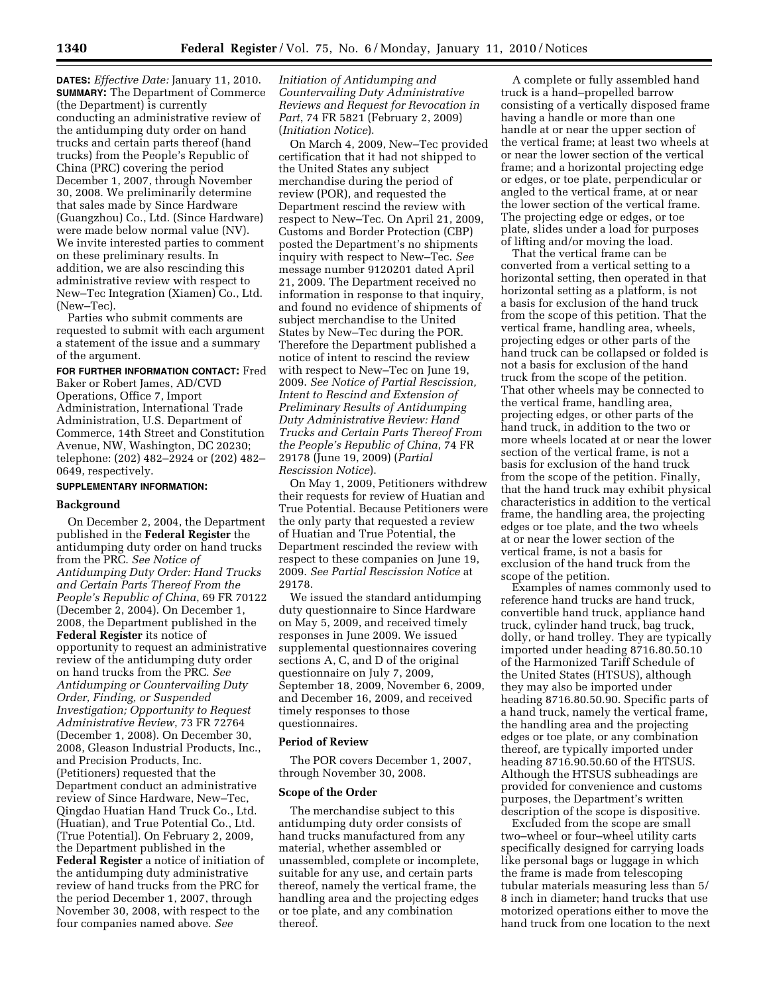**DATES:** *Effective Date:* January 11, 2010. **SUMMARY:** The Department of Commerce (the Department) is currently conducting an administrative review of the antidumping duty order on hand trucks and certain parts thereof (hand trucks) from the People's Republic of China (PRC) covering the period December 1, 2007, through November 30, 2008. We preliminarily determine that sales made by Since Hardware (Guangzhou) Co., Ltd. (Since Hardware) were made below normal value (NV). We invite interested parties to comment on these preliminary results. In addition, we are also rescinding this administrative review with respect to New–Tec Integration (Xiamen) Co., Ltd. (New–Tec).

Parties who submit comments are requested to submit with each argument a statement of the issue and a summary of the argument.

**FOR FURTHER INFORMATION CONTACT:** Fred Baker or Robert James, AD/CVD Operations, Office 7, Import Administration, International Trade Administration, U.S. Department of Commerce, 14th Street and Constitution Avenue, NW, Washington, DC 20230; telephone: (202) 482–2924 or (202) 482– 0649, respectively.

### **SUPPLEMENTARY INFORMATION:**

#### **Background**

On December 2, 2004, the Department published in the **Federal Register** the antidumping duty order on hand trucks from the PRC. *See Notice of Antidumping Duty Order: Hand Trucks and Certain Parts Thereof From the People's Republic of China*, 69 FR 70122 (December 2, 2004). On December 1, 2008, the Department published in the **Federal Register** its notice of opportunity to request an administrative review of the antidumping duty order on hand trucks from the PRC. *See Antidumping or Countervailing Duty Order, Finding, or Suspended Investigation; Opportunity to Request Administrative Review*, 73 FR 72764 (December 1, 2008). On December 30, 2008, Gleason Industrial Products, Inc., and Precision Products, Inc. (Petitioners) requested that the Department conduct an administrative review of Since Hardware, New–Tec, Qingdao Huatian Hand Truck Co., Ltd. (Huatian), and True Potential Co., Ltd. (True Potential). On February 2, 2009, the Department published in the **Federal Register** a notice of initiation of the antidumping duty administrative review of hand trucks from the PRC for the period December 1, 2007, through November 30, 2008, with respect to the four companies named above. *See* 

*Initiation of Antidumping and Countervailing Duty Administrative Reviews and Request for Revocation in Part*, 74 FR 5821 (February 2, 2009) (*Initiation Notice*).

On March 4, 2009, New–Tec provided certification that it had not shipped to the United States any subject merchandise during the period of review (POR), and requested the Department rescind the review with respect to New–Tec. On April 21, 2009, Customs and Border Protection (CBP) posted the Department's no shipments inquiry with respect to New–Tec. *See*  message number 9120201 dated April 21, 2009. The Department received no information in response to that inquiry, and found no evidence of shipments of subject merchandise to the United States by New–Tec during the POR. Therefore the Department published a notice of intent to rescind the review with respect to New–Tec on June 19, 2009. *See Notice of Partial Rescission, Intent to Rescind and Extension of Preliminary Results of Antidumping Duty Administrative Review: Hand Trucks and Certain Parts Thereof From the People's Republic of China*, 74 FR 29178 (June 19, 2009) (*Partial Rescission Notice*).

On May 1, 2009, Petitioners withdrew their requests for review of Huatian and True Potential. Because Petitioners were the only party that requested a review of Huatian and True Potential, the Department rescinded the review with respect to these companies on June 19, 2009. *See Partial Rescission Notice* at 29178.

We issued the standard antidumping duty questionnaire to Since Hardware on May 5, 2009, and received timely responses in June 2009. We issued supplemental questionnaires covering sections A, C, and D of the original questionnaire on July 7, 2009, September 18, 2009, November 6, 2009, and December 16, 2009, and received timely responses to those questionnaires.

#### **Period of Review**

The POR covers December 1, 2007, through November 30, 2008.

# **Scope of the Order**

The merchandise subject to this antidumping duty order consists of hand trucks manufactured from any material, whether assembled or unassembled, complete or incomplete, suitable for any use, and certain parts thereof, namely the vertical frame, the handling area and the projecting edges or toe plate, and any combination thereof.

A complete or fully assembled hand truck is a hand–propelled barrow consisting of a vertically disposed frame having a handle or more than one handle at or near the upper section of the vertical frame; at least two wheels at or near the lower section of the vertical frame; and a horizontal projecting edge or edges, or toe plate, perpendicular or angled to the vertical frame, at or near the lower section of the vertical frame. The projecting edge or edges, or toe plate, slides under a load for purposes of lifting and/or moving the load.

That the vertical frame can be converted from a vertical setting to a horizontal setting, then operated in that horizontal setting as a platform, is not a basis for exclusion of the hand truck from the scope of this petition. That the vertical frame, handling area, wheels, projecting edges or other parts of the hand truck can be collapsed or folded is not a basis for exclusion of the hand truck from the scope of the petition. That other wheels may be connected to the vertical frame, handling area, projecting edges, or other parts of the hand truck, in addition to the two or more wheels located at or near the lower section of the vertical frame, is not a basis for exclusion of the hand truck from the scope of the petition. Finally, that the hand truck may exhibit physical characteristics in addition to the vertical frame, the handling area, the projecting edges or toe plate, and the two wheels at or near the lower section of the vertical frame, is not a basis for exclusion of the hand truck from the scope of the petition.

Examples of names commonly used to reference hand trucks are hand truck, convertible hand truck, appliance hand truck, cylinder hand truck, bag truck, dolly, or hand trolley. They are typically imported under heading 8716.80.50.10 of the Harmonized Tariff Schedule of the United States (HTSUS), although they may also be imported under heading 8716.80.50.90. Specific parts of a hand truck, namely the vertical frame, the handling area and the projecting edges or toe plate, or any combination thereof, are typically imported under heading 8716.90.50.60 of the HTSUS. Although the HTSUS subheadings are provided for convenience and customs purposes, the Department's written description of the scope is dispositive.

Excluded from the scope are small two–wheel or four–wheel utility carts specifically designed for carrying loads like personal bags or luggage in which the frame is made from telescoping tubular materials measuring less than 5/ 8 inch in diameter; hand trucks that use motorized operations either to move the hand truck from one location to the next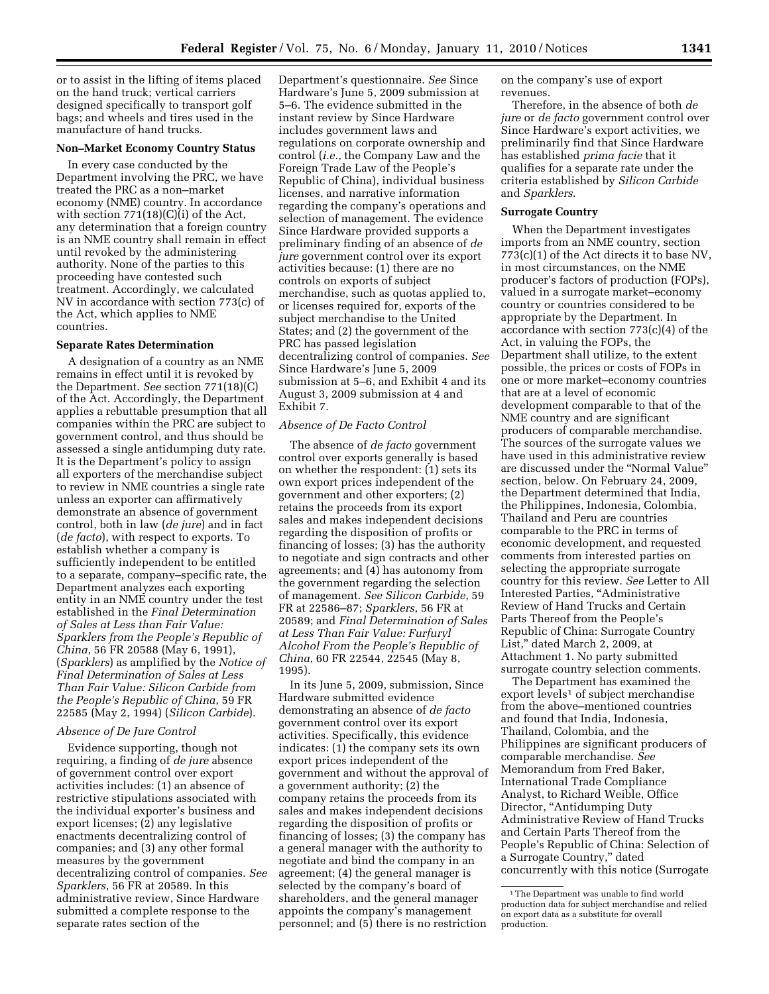or to assist in the lifting of items placed on the hand truck; vertical carriers designed specifically to transport golf bags; and wheels and tires used in the manufacture of hand trucks.

# **Non–Market Economy Country Status**

In every case conducted by the Department involving the PRC, we have treated the PRC as a non–market economy (NME) country. In accordance with section 771(18)(C)(i) of the Act, any determination that a foreign country is an NME country shall remain in effect until revoked by the administering authority. None of the parties to this proceeding have contested such treatment. Accordingly, we calculated NV in accordance with section 773(c) of the Act, which applies to NME countries.

### **Separate Rates Determination**

A designation of a country as an NME remains in effect until it is revoked by the Department. *See* section 771(18)(C) of the Act. Accordingly, the Department applies a rebuttable presumption that all companies within the PRC are subject to government control, and thus should be assessed a single antidumping duty rate. It is the Department's policy to assign all exporters of the merchandise subject to review in NME countries a single rate unless an exporter can affirmatively demonstrate an absence of government control, both in law (*de jure*) and in fact (*de facto*), with respect to exports. To establish whether a company is sufficiently independent to be entitled to a separate, company–specific rate, the Department analyzes each exporting entity in an NME country under the test established in the *Final Determination of Sales at Less than Fair Value: Sparklers from the People's Republic of China*, 56 FR 20588 (May 6, 1991), (*Sparklers*) as amplified by the *Notice of Final Determination of Sales at Less Than Fair Value: Silicon Carbide from the People's Republic of China*, 59 FR 22585 (May 2, 1994) (*Silicon Carbide*).

# *Absence of De Jure Control*

Evidence supporting, though not requiring, a finding of *de jure* absence of government control over export activities includes: (1) an absence of restrictive stipulations associated with the individual exporter's business and export licenses; (2) any legislative enactments decentralizing control of companies; and (3) any other formal measures by the government decentralizing control of companies. *See Sparklers*, 56 FR at 20589. In this administrative review, Since Hardware submitted a complete response to the separate rates section of the

Department's questionnaire. *See* Since Hardware's June 5, 2009 submission at 5–6. The evidence submitted in the instant review by Since Hardware includes government laws and regulations on corporate ownership and control (*i.e.*, the Company Law and the Foreign Trade Law of the People's Republic of China), individual business licenses, and narrative information regarding the company's operations and selection of management. The evidence Since Hardware provided supports a preliminary finding of an absence of *de jure* government control over its export activities because: (1) there are no controls on exports of subject merchandise, such as quotas applied to, or licenses required for, exports of the subject merchandise to the United States; and (2) the government of the PRC has passed legislation decentralizing control of companies. *See*  Since Hardware's June 5, 2009 submission at 5–6, and Exhibit 4 and its August 3, 2009 submission at 4 and Exhibit 7.

### *Absence of De Facto Control*

The absence of *de facto* government control over exports generally is based on whether the respondent: (1) sets its own export prices independent of the government and other exporters; (2) retains the proceeds from its export sales and makes independent decisions regarding the disposition of profits or financing of losses; (3) has the authority to negotiate and sign contracts and other agreements; and (4) has autonomy from the government regarding the selection of management. *See Silicon Carbide*, 59 FR at 22586–87; *Sparklers*, 56 FR at 20589; and *Final Determination of Sales at Less Than Fair Value: Furfuryl Alcohol From the People's Republic of China*, 60 FR 22544, 22545 (May 8, 1995).

In its June 5, 2009, submission, Since Hardware submitted evidence demonstrating an absence of *de facto*  government control over its export activities. Specifically, this evidence indicates: (1) the company sets its own export prices independent of the government and without the approval of a government authority; (2) the company retains the proceeds from its sales and makes independent decisions regarding the disposition of profits or financing of losses; (3) the company has a general manager with the authority to negotiate and bind the company in an agreement; (4) the general manager is selected by the company's board of shareholders, and the general manager appoints the company's management personnel; and (5) there is no restriction

on the company's use of export revenues.

Therefore, in the absence of both *de jure* or *de facto* government control over Since Hardware's export activities, we preliminarily find that Since Hardware has established *prima facie* that it qualifies for a separate rate under the criteria established by *Silicon Carbide*  and *Sparklers*.

### **Surrogate Country**

When the Department investigates imports from an NME country, section 773(c)(1) of the Act directs it to base NV, in most circumstances, on the NME producer's factors of production (FOPs), valued in a surrogate market–economy country or countries considered to be appropriate by the Department. In accordance with section 773(c)(4) of the Act, in valuing the FOPs, the Department shall utilize, to the extent possible, the prices or costs of FOPs in one or more market–economy countries that are at a level of economic development comparable to that of the NME country and are significant producers of comparable merchandise. The sources of the surrogate values we have used in this administrative review are discussed under the ''Normal Value'' section, below. On February 24, 2009, the Department determined that India, the Philippines, Indonesia, Colombia, Thailand and Peru are countries comparable to the PRC in terms of economic development, and requested comments from interested parties on selecting the appropriate surrogate country for this review. *See* Letter to All Interested Parties, ''Administrative Review of Hand Trucks and Certain Parts Thereof from the People's Republic of China: Surrogate Country List,'' dated March 2, 2009, at Attachment 1. No party submitted surrogate country selection comments.

The Department has examined the export levels<sup>1</sup> of subject merchandise from the above–mentioned countries and found that India, Indonesia, Thailand, Colombia, and the Philippines are significant producers of comparable merchandise. *See*  Memorandum from Fred Baker, International Trade Compliance Analyst, to Richard Weible, Office Director, "Antidumping Duty Administrative Review of Hand Trucks and Certain Parts Thereof from the People's Republic of China: Selection of a Surrogate Country,'' dated concurrently with this notice (Surrogate

<sup>1</sup>The Department was unable to find world production data for subject merchandise and relied on export data as a substitute for overall production.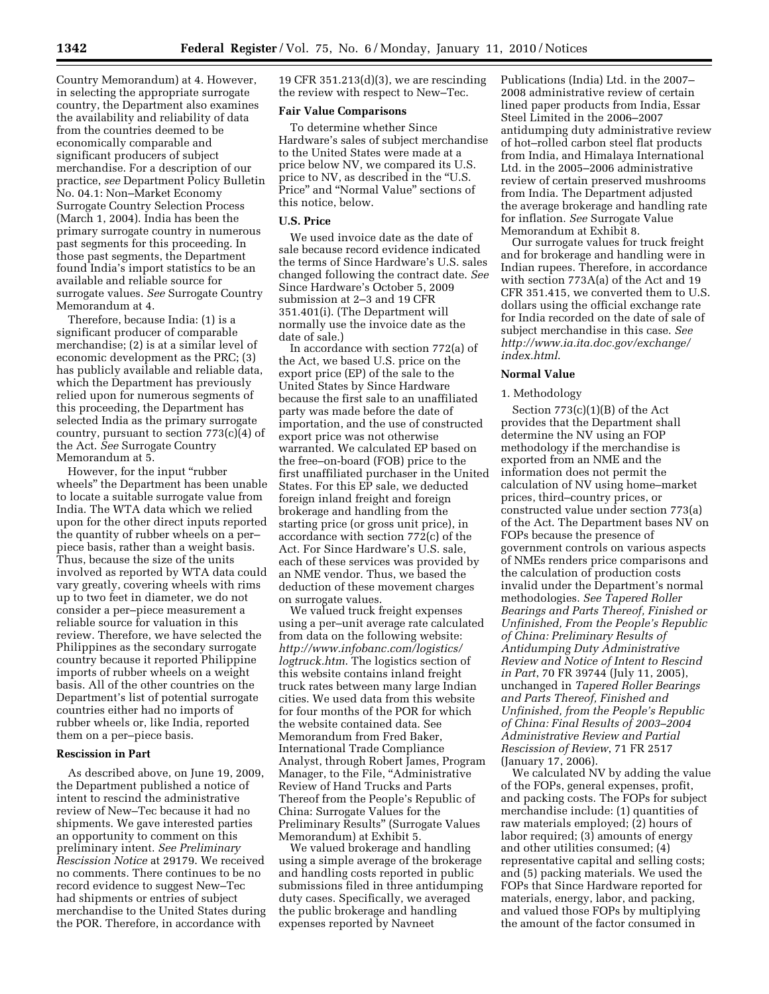Country Memorandum) at 4. However, in selecting the appropriate surrogate country, the Department also examines the availability and reliability of data from the countries deemed to be economically comparable and significant producers of subject merchandise. For a description of our practice, *see* Department Policy Bulletin No. 04.1: Non–Market Economy Surrogate Country Selection Process (March 1, 2004). India has been the primary surrogate country in numerous past segments for this proceeding. In those past segments, the Department found India's import statistics to be an available and reliable source for surrogate values. *See* Surrogate Country Memorandum at 4.

Therefore, because India: (1) is a significant producer of comparable merchandise; (2) is at a similar level of economic development as the PRC; (3) has publicly available and reliable data, which the Department has previously relied upon for numerous segments of this proceeding, the Department has selected India as the primary surrogate country, pursuant to section 773(c)(4) of the Act. *See* Surrogate Country Memorandum at 5.

However, for the input ''rubber wheels'' the Department has been unable to locate a suitable surrogate value from India. The WTA data which we relied upon for the other direct inputs reported the quantity of rubber wheels on a per– piece basis, rather than a weight basis. Thus, because the size of the units involved as reported by WTA data could vary greatly, covering wheels with rims up to two feet in diameter, we do not consider a per–piece measurement a reliable source for valuation in this review. Therefore, we have selected the Philippines as the secondary surrogate country because it reported Philippine imports of rubber wheels on a weight basis. All of the other countries on the Department's list of potential surrogate countries either had no imports of rubber wheels or, like India, reported them on a per–piece basis.

#### **Rescission in Part**

As described above, on June 19, 2009, the Department published a notice of intent to rescind the administrative review of New–Tec because it had no shipments. We gave interested parties an opportunity to comment on this preliminary intent. *See Preliminary Rescission Notice* at 29179. We received no comments. There continues to be no record evidence to suggest New–Tec had shipments or entries of subject merchandise to the United States during the POR. Therefore, in accordance with

19 CFR 351.213(d)(3), we are rescinding the review with respect to New–Tec.

### **Fair Value Comparisons**

To determine whether Since Hardware's sales of subject merchandise to the United States were made at a price below NV, we compared its U.S. price to NV, as described in the "U.S. Price'' and ''Normal Value'' sections of this notice, below.

# **U.S. Price**

We used invoice date as the date of sale because record evidence indicated the terms of Since Hardware's U.S. sales changed following the contract date. *See*  Since Hardware's October 5, 2009 submission at 2–3 and 19 CFR 351.401(i). (The Department will normally use the invoice date as the date of sale.)

In accordance with section 772(a) of the Act, we based U.S. price on the export price (EP) of the sale to the United States by Since Hardware because the first sale to an unaffiliated party was made before the date of importation, and the use of constructed export price was not otherwise warranted. We calculated EP based on the free–on-board (FOB) price to the first unaffiliated purchaser in the United States. For this EP sale, we deducted foreign inland freight and foreign brokerage and handling from the starting price (or gross unit price), in accordance with section 772(c) of the Act. For Since Hardware's U.S. sale, each of these services was provided by an NME vendor. Thus, we based the deduction of these movement charges on surrogate values.

We valued truck freight expenses using a per–unit average rate calculated from data on the following website: *http://www.infobanc.com/logistics/ logtruck.htm*. The logistics section of this website contains inland freight truck rates between many large Indian cities. We used data from this website for four months of the POR for which the website contained data. See Memorandum from Fred Baker, International Trade Compliance Analyst, through Robert James, Program Manager, to the File, "Administrative Review of Hand Trucks and Parts Thereof from the People's Republic of China: Surrogate Values for the Preliminary Results'' (Surrogate Values Memorandum) at Exhibit 5.

We valued brokerage and handling using a simple average of the brokerage and handling costs reported in public submissions filed in three antidumping duty cases. Specifically, we averaged the public brokerage and handling expenses reported by Navneet

Publications (India) Ltd. in the 2007– 2008 administrative review of certain lined paper products from India, Essar Steel Limited in the 2006–2007 antidumping duty administrative review of hot–rolled carbon steel flat products from India, and Himalaya International Ltd. in the 2005–2006 administrative review of certain preserved mushrooms from India. The Department adjusted the average brokerage and handling rate for inflation. *See* Surrogate Value Memorandum at Exhibit 8.

Our surrogate values for truck freight and for brokerage and handling were in Indian rupees. Therefore, in accordance with section 773A(a) of the Act and 19 CFR 351.415, we converted them to U.S. dollars using the official exchange rate for India recorded on the date of sale of subject merchandise in this case. *See http://www.ia.ita.doc.gov/exchange/ index.html*.

### **Normal Value**

### 1. Methodology

Section 773(c)(1)(B) of the Act provides that the Department shall determine the NV using an FOP methodology if the merchandise is exported from an NME and the information does not permit the calculation of NV using home–market prices, third–country prices, or constructed value under section 773(a) of the Act. The Department bases NV on FOPs because the presence of government controls on various aspects of NMEs renders price comparisons and the calculation of production costs invalid under the Department's normal methodologies. *See Tapered Roller Bearings and Parts Thereof, Finished or Unfinished, From the People's Republic of China: Preliminary Results of Antidumping Duty Administrative Review and Notice of Intent to Rescind in Part*, 70 FR 39744 (July 11, 2005), unchanged in *Tapered Roller Bearings and Parts Thereof, Finished and Unfinished, from the People's Republic of China: Final Results of 2003–2004 Administrative Review and Partial Rescission of Review*, 71 FR 2517 (January 17, 2006).

We calculated NV by adding the value of the FOPs, general expenses, profit, and packing costs. The FOPs for subject merchandise include: (1) quantities of raw materials employed; (2) hours of labor required; (3) amounts of energy and other utilities consumed; (4) representative capital and selling costs; and (5) packing materials. We used the FOPs that Since Hardware reported for materials, energy, labor, and packing, and valued those FOPs by multiplying the amount of the factor consumed in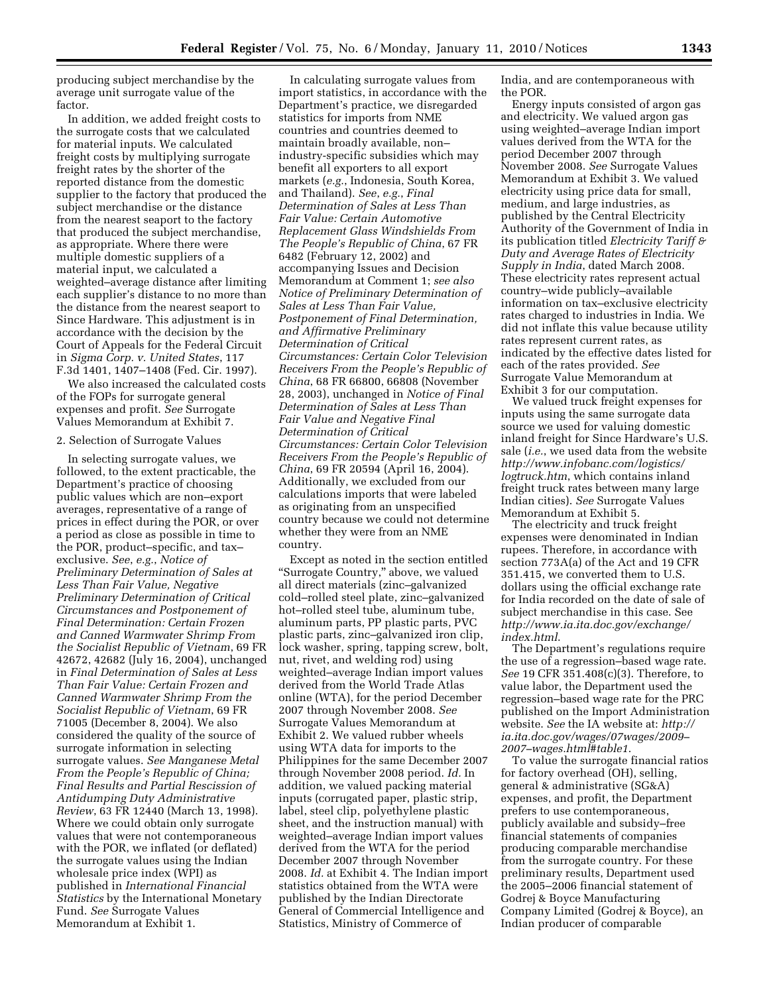producing subject merchandise by the average unit surrogate value of the factor.

In addition, we added freight costs to the surrogate costs that we calculated for material inputs. We calculated freight costs by multiplying surrogate freight rates by the shorter of the reported distance from the domestic supplier to the factory that produced the subject merchandise or the distance from the nearest seaport to the factory that produced the subject merchandise, as appropriate. Where there were multiple domestic suppliers of a material input, we calculated a weighted–average distance after limiting each supplier's distance to no more than the distance from the nearest seaport to Since Hardware. This adjustment is in accordance with the decision by the Court of Appeals for the Federal Circuit in *Sigma Corp. v. United States*, 117 F.3d 1401, 1407–1408 (Fed. Cir. 1997).

We also increased the calculated costs of the FOPs for surrogate general expenses and profit. *See* Surrogate Values Memorandum at Exhibit 7.

### 2. Selection of Surrogate Values

In selecting surrogate values, we followed, to the extent practicable, the Department's practice of choosing public values which are non–export averages, representative of a range of prices in effect during the POR, or over a period as close as possible in time to the POR, product–specific, and tax– exclusive. *See*, *e.g.*, *Notice of Preliminary Determination of Sales at Less Than Fair Value, Negative Preliminary Determination of Critical Circumstances and Postponement of Final Determination: Certain Frozen and Canned Warmwater Shrimp From the Socialist Republic of Vietnam*, 69 FR 42672, 42682 (July 16, 2004), unchanged in *Final Determination of Sales at Less Than Fair Value: Certain Frozen and Canned Warmwater Shrimp From the Socialist Republic of Vietnam*, 69 FR 71005 (December 8, 2004). We also considered the quality of the source of surrogate information in selecting surrogate values. *See Manganese Metal From the People's Republic of China; Final Results and Partial Rescission of Antidumping Duty Administrative Review*, 63 FR 12440 (March 13, 1998). Where we could obtain only surrogate values that were not contemporaneous with the POR, we inflated (or deflated) the surrogate values using the Indian wholesale price index (WPI) as published in *International Financial Statistics* by the International Monetary Fund. *See* Surrogate Values Memorandum at Exhibit 1.

In calculating surrogate values from import statistics, in accordance with the Department's practice, we disregarded statistics for imports from NME countries and countries deemed to maintain broadly available, non– industry-specific subsidies which may benefit all exporters to all export markets (*e.g.*, Indonesia, South Korea, and Thailand). *See*, *e.g.*, *Final Determination of Sales at Less Than Fair Value: Certain Automotive Replacement Glass Windshields From The People's Republic of China*, 67 FR 6482 (February 12, 2002) and accompanying Issues and Decision Memorandum at Comment 1; *see also Notice of Preliminary Determination of Sales at Less Than Fair Value, Postponement of Final Determination, and Affirmative Preliminary Determination of Critical Circumstances: Certain Color Television Receivers From the People's Republic of China*, 68 FR 66800, 66808 (November 28, 2003), unchanged in *Notice of Final Determination of Sales at Less Than Fair Value and Negative Final Determination of Critical Circumstances: Certain Color Television Receivers From the People's Republic of China*, 69 FR 20594 (April 16, 2004). Additionally, we excluded from our calculations imports that were labeled as originating from an unspecified country because we could not determine whether they were from an NME country.

Except as noted in the section entitled "Surrogate Country," above, we valued all direct materials (zinc–galvanized cold–rolled steel plate, zinc–galvanized hot–rolled steel tube, aluminum tube, aluminum parts, PP plastic parts, PVC plastic parts, zinc–galvanized iron clip, lock washer, spring, tapping screw, bolt, nut, rivet, and welding rod) using weighted–average Indian import values derived from the World Trade Atlas online (WTA), for the period December 2007 through November 2008. *See*  Surrogate Values Memorandum at Exhibit 2. We valued rubber wheels using WTA data for imports to the Philippines for the same December 2007 through November 2008 period. *Id.* In addition, we valued packing material inputs (corrugated paper, plastic strip, label, steel clip, polyethylene plastic sheet, and the instruction manual) with weighted–average Indian import values derived from the WTA for the period December 2007 through November 2008. *Id.* at Exhibit 4. The Indian import statistics obtained from the WTA were published by the Indian Directorate General of Commercial Intelligence and Statistics, Ministry of Commerce of

India, and are contemporaneous with the POR.

Energy inputs consisted of argon gas and electricity. We valued argon gas using weighted–average Indian import values derived from the WTA for the period December 2007 through November 2008. *See* Surrogate Values Memorandum at Exhibit 3. We valued electricity using price data for small, medium, and large industries, as published by the Central Electricity Authority of the Government of India in its publication titled *Electricity Tariff & Duty and Average Rates of Electricity Supply in India*, dated March 2008. These electricity rates represent actual country–wide publicly–available information on tax–exclusive electricity rates charged to industries in India. We did not inflate this value because utility rates represent current rates, as indicated by the effective dates listed for each of the rates provided. *See*  Surrogate Value Memorandum at Exhibit 3 for our computation.

We valued truck freight expenses for inputs using the same surrogate data source we used for valuing domestic inland freight for Since Hardware's U.S. sale (*i.e.*, we used data from the website *http://www.infobanc.com/logistics/ logtruck.htm*, which contains inland freight truck rates between many large Indian cities). *See* Surrogate Values Memorandum at Exhibit 5.

The electricity and truck freight expenses were denominated in Indian rupees. Therefore, in accordance with section 773A(a) of the Act and 19 CFR 351.415, we converted them to U.S. dollars using the official exchange rate for India recorded on the date of sale of subject merchandise in this case. See *http://www.ia.ita.doc.gov/exchange/ index.html*.

The Department's regulations require the use of a regression–based wage rate. *See* 19 CFR 351.408(c)(3). Therefore, to value labor, the Department used the regression–based wage rate for the PRC published on the Import Administration website. *See* the IA website at: *http:// ia.ita.doc.gov/wages/07wages/2009– 2007–wages.html#table1*.

To value the surrogate financial ratios for factory overhead (OH), selling, general & administrative (SG&A) expenses, and profit, the Department prefers to use contemporaneous, publicly available and subsidy–free financial statements of companies producing comparable merchandise from the surrogate country. For these preliminary results, Department used the 2005–2006 financial statement of Godrej & Boyce Manufacturing Company Limited (Godrej & Boyce), an Indian producer of comparable